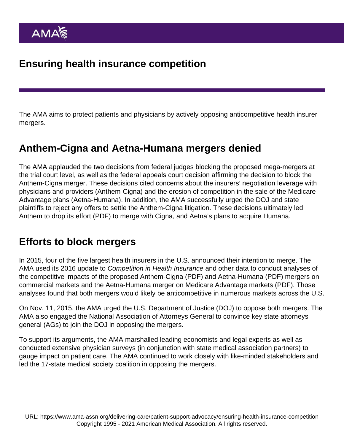The AMA aims to protect patients and physicians by actively opposing anticompetitive health insurer mergers.

## Anthem-Cigna and Aetna-Humana mergers denied

The AMA applauded the two decisions from federal judges blocking the proposed mega-mergers at the trial court level, as well as the federal appeals court decision affirming the decision to block the Anthem-Cigna merger. These decisions cited concerns about the insurers' negotiation leverage with physicians and providers [\(Anthem-Cigna](https://www.justice.gov/atr/case-document/file/940946/download)) and the erosion of competition in the sale of the Medicare Advantage plans ([Aetna-Humana](https://www.justice.gov/opa/pr/us-district-court-blocks-aetna-s-acquisition-humana)). In addition, the AMA successfully urged the DOJ and state plaintiffs to reject any offers to settle the Anthem-Cigna litigation. These decisions ultimately led Anthem to [drop its effort](https://www.ama-assn.org/sites/ama-assn.org/files/corp/media-browser/public/government/advocacy/merger-graphic.pdf) (PDF) to merge with Cigna, and Aetna's plans to acquire Humana.

## Efforts to block mergers

In 2015, four of the five largest health insurers in the U.S. announced their intention to merge. The AMA used its 2016 update to Competition in Health Insurance and other data to [conduct analyses](https://www.ama-assn.org/delivering-care/patient-support-advocacy/competition-health-insurance-research) of the competitive impacts of the proposed [Anthem-Cigna](https://www.ama-assn.org/sites/ama-assn.org/files/corp/media-browser/Competition-anthem-cigna-merger-final.pdf) (PDF) and [Aetna-Humana](https://www.ama-assn.org/sites/ama-assn.org/files/corp/media-browser/Competition-aetna-humana-merger-final.pdf) (PDF) mergers on commercial markets and the Aetna-Humana merger on [Medicare Advantage markets](https://www.ama-assn.org/sites/ama-assn.org/files/corp/media-browser/public/government/advocacy/competition-ma-mkt-aetna-humana-merger.pdf) (PDF). Those analyses found that both mergers would likely be anticompetitive in numerous markets across the U.S.

On Nov. 11, 2015, the AMA urged the U.S. Department of Justice (DOJ) to oppose both mergers. The AMA also engaged the National Association of Attorneys General to convince key state attorneys general (AGs) to join the DOJ in opposing the mergers.

To support its arguments, the AMA marshalled leading economists and legal experts as well as conducted extensive physician surveys (in conjunction with state medical association partners) to gauge impact on patient care. The AMA continued to work closely with like-minded stakeholders and led the 17-state medical society coalition in opposing the mergers.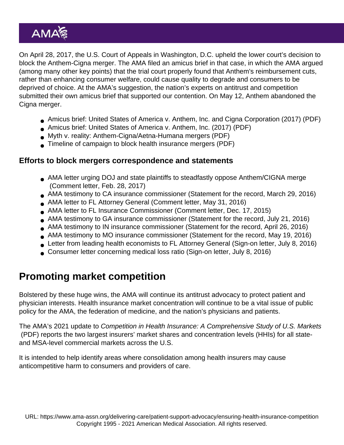On April 28, 2017, the U.S. Court of Appeals in Washington, D.C. upheld the lower court's decision to block the Anthem-Cigna merger. The AMA filed an amicus brief in that case, in which the AMA argued (among many other key points) that the trial court properly found that Anthem's reimbursement cuts, rather than enhancing consumer welfare, could cause quality to degrade and consumers to be deprived of choice. At the AMA's suggestion, the nation's experts on antitrust and competition submitted their own amicus brief that supported our contention. On May 12, Anthem abandoned the Cigna merger.

- [Amicus brief: United States of America v. Anthem, Inc. and Cigna Corporation \(2017\)](https://www.ama-assn.org/sites/ama-assn.org/files/corp/media-browser/public/government/advocacy/ama-amicus-brief.pdf) (PDF)
- [Amicus brief: United States of America v. Anthem, Inc. \(2017\)](https://www.ama-assn.org/sites/ama-assn.org/files/corp/media-browser/amicus-brief-antitrust-professors.pdf) (PDF)
- [Myth v. reality: Anthem-Cigna/Aetna-Humana mergers](https://www.ama-assn.org/sites/ama-assn.org/files/corp/media-browser/Insurance-Merger-Myth-Reality.pdf) (PDF)
- [Timeline of campaign to block health insurance mergers](https://www.ama-assn.org/sites/ama-assn.org/files/corp/media-browser/insurance-mergers-timeline.pdf) (PDF)

Efforts to block mergers correspondence and statements

- [AMA letter urging DOJ and state plaintiffs to steadfastly oppose Anthem/CIGNA merge](https://searchlf.ama-assn.org/letter/documentDownload?uri=/unstructured/binary/letter/LETTERS/2017-2-28-Letter-to-Snyder-re-Anthem-Cigna-DOJ.pdf) (Comment letter, Feb. 28, 2017)
- [AMA testimony to CA insurance commissioner](https://searchlf.ama-assn.org/letter/documentDownload?uri=/unstructured/binary/letter/LETTERS/ama-cma-statement-to-california-department-insurance-re-anthem-cigna-merger-29march2016.pdf) (Statement for the record, March 29, 2016)
- [AMA letter to FL Attorney General](https://searchlf.ama-assn.org/letter/documentDownload?uri=/unstructured/binary/letter/LETTERS/ama-letter-to-florida-attorney-general-aetna-humana-merger-31may2016.pdf) (Comment letter, May 31, 2016)
- [AMA letter to FL Insurance Commissioner](https://searchlf.ama-assn.org/letter/documentDownload?uri=/unstructured/binary/letter/LETTERS/ama-fma-foma-letter-to-fl-insurance-regarding-mergers-17dec2015.pdf) (Comment letter, Dec. 17, 2015)
- [AMA testimony to GA insurance commissioner](https://searchlf.ama-assn.org/letter/documentDownload?uri=/unstructured/binary/letter/LETTERS/MAG-AMA-Statement.pdf) (Statement for the record, July 21, 2016)
- [AMA testimony to IN insurance commissioner](https://searchlf.ama-assn.org/letter/documentDownload?uri=/unstructured/binary/letter/LETTERS/ama-statement-indiana-department-insurance-anthem-cigna-merger-26apr2016.pdf) (Statement for the record, April 26, 2016)
- [AMA testimony to MO insurance commissioner](https://searchlf.ama-assn.org/letter/documentDownload?uri=/unstructured/binary/letter/LETTERS/ama-statement-to-missouri-department-insurance-re-aetna-humana-merger-19may2016.pdf) (Statement for the record, May 19, 2016)
- [Letter from leading health economists to FL Attorney General](https://searchlf.ama-assn.org/letter/documentDownload?uri=/unstructured/binary/letter/LETTERS/expert-letter-medicare-advantage-aetna-humana-merger-8july2016.pdf) (Sign-on letter, July 8, 2016)
- [Consumer letter concerning medical loss ratio](https://searchlf.ama-assn.org/letter/documentDownload?uri=/unstructured/binary/letter/LETTERS/expert-letter-jost-mlr-mergers-8july2016.pdf) (Sign-on letter, July 8, 2016)

## Promoting market competition

Bolstered by these huge wins, the AMA will continue its antitrust advocacy to protect patient and physician interests. Health insurance market concentration will continue to be a vital issue of public policy for the AMA, the federation of medicine, and the nation's physicians and patients.

The AMA's 2021 update to [Competition in Health Insurance: A Comprehensive Study of U.S. Markets](https://www.ama-assn.org/system/files/competition-health-insurance-us-markets.pdf) (PDF) reports the two largest insurers' market shares and concentration levels (HHIs) for all stateand MSA-level commercial markets across the U.S.

It is intended to help identify areas where consolidation among health insurers may cause anticompetitive harm to consumers and providers of care.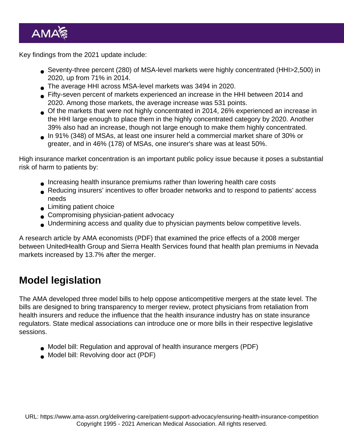Key findings from the 2021 update include:

- Seventy-three percent (280) of MSA-level markets were highly concentrated (HHI>2,500) in 2020, up from 71% in 2014.
- The average HHI across MSA-level markets was 3494 in 2020.
- Fifty-seven percent of markets experienced an increase in the HHI between 2014 and 2020. Among those markets, the average increase was 531 points.
- Of the markets that were not highly concentrated in 2014, 26% experienced an increase in the HHI large enough to place them in the highly concentrated category by 2020. Another 39% also had an increase, though not large enough to make them highly concentrated.
- In 91% (348) of MSAs, at least one insurer held a commercial market share of 30% or greater, and in 46% (178) of MSAs, one insurer's share was at least 50%.

High insurance market concentration is an important public policy issue because it poses a substantial risk of harm to patients by:

- Increasing health insurance premiums rather than lowering health care costs
- Reducing insurers' incentives to offer broader networks and to respond to patients' access needs
- **Limiting patient choice**
- Compromising physician-patient advocacy
- Undermining access and quality due to physician payments below competitive levels.

A [research article by AMA economists](https://www.ama-assn.org/sites/ama-assn.org/files/corp/media-browser/public/government/advocacy/united-sierra-merger-premiums-hmpi_0.pdf) (PDF) that examined the price effects of a 2008 merger between UnitedHealth Group and Sierra Health Services found that health plan premiums in Nevada markets increased by 13.7% after the merger.

### Model legislation

The AMA developed three model bills to help oppose anticompetitive mergers at the state level. The bills are designed to bring transparency to merger review, protect physicians from retaliation from health insurers and reduce the influence that the health insurance industry has on state insurance regulators. State medical associations can introduce one or more bills in their respective legislative sessions.

- [Model bill: Regulation and approval of health insurance mergers](https://www.ama-assn.org/sites/ama-assn.org/files/corp/media-browser/Regulation-Approval-Mergers-Model-Bill.pdf) (PDF)
- [Model bill: Revolving door act](https://www.ama-assn.org/sites/ama-assn.org/files/corp/media-browser/Election-Revolving-Door-Model-Bill.pdf) (PDF)